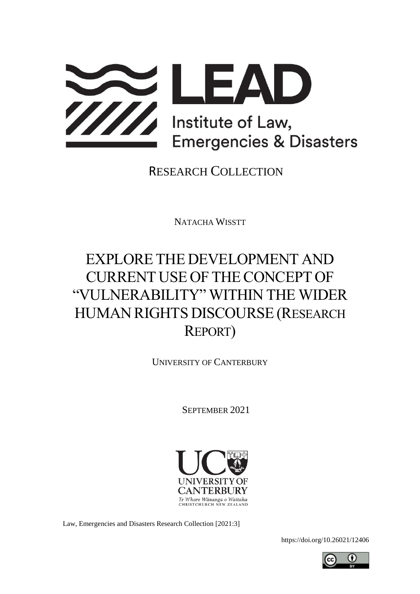

RESEARCH COLLECTION

NATACHA WISSTT

# EXPLORE THE DEVELOPMENT AND CURRENT USE OF THECONCEPT OF "VULNERABILITY" WITHIN THE WIDER HUMAN RIGHTS DISCOURSE (RESEARCH REPORT)

UNIVERSITY OF CANTERBURY

SEPTEMBER 2021



Law, Emergencies and Disasters Research Collection [2021:3]

<https://doi.org/10.26021/12406>

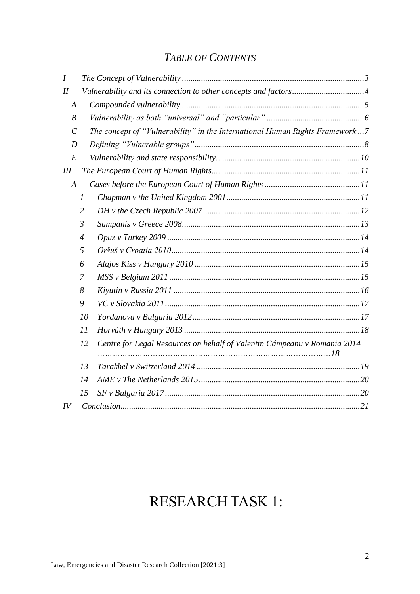# *TABLE OF CONTENTS*

| $\overline{I}$        |                |                                                                             |
|-----------------------|----------------|-----------------------------------------------------------------------------|
| I                     |                | Vulnerability and its connection to other concepts and factors4             |
| $\boldsymbol{A}$      |                |                                                                             |
| $\boldsymbol{B}$      |                |                                                                             |
| $\mathcal{C}_{0}^{0}$ |                | The concept of "Vulnerability" in the International Human Rights Framework7 |
| D                     |                |                                                                             |
| E                     |                |                                                                             |
| III                   |                |                                                                             |
| $\boldsymbol{A}$      |                |                                                                             |
|                       | 1              |                                                                             |
|                       | $\overline{2}$ |                                                                             |
|                       | $\mathfrak{Z}$ |                                                                             |
|                       | $\overline{4}$ |                                                                             |
|                       | 5              |                                                                             |
|                       | 6              |                                                                             |
|                       | 7              |                                                                             |
|                       | 8              |                                                                             |
|                       | 9              |                                                                             |
|                       | 10             |                                                                             |
|                       | 11             |                                                                             |
|                       | 12             | Centre for Legal Resources on behalf of Valentin Cámpeanu v Romania 2014    |
|                       | 13             |                                                                             |
|                       | 14             |                                                                             |
|                       | 15             |                                                                             |
| IV                    |                |                                                                             |

# RESEARCH TASK 1: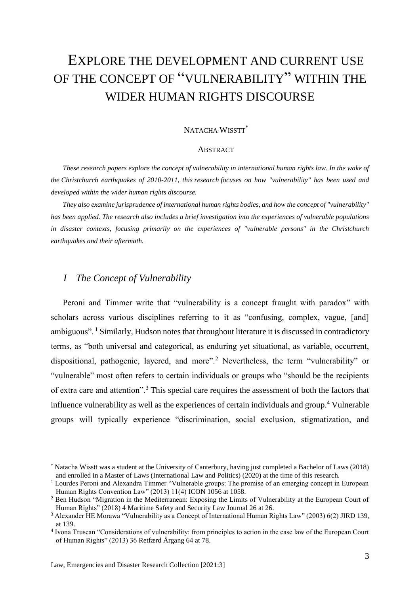# EXPLORE THE DEVELOPMENT AND CURRENT USE OF THE CONCEPT OF "VULNERABILITY" WITHIN THE WIDER HUMAN RIGHTS DISCOURSE

#### NATACHA WISSTT<sup>\*</sup>

#### ABSTRACT

*These research papers explore the concept of vulnerability in international human rights law. In the wake of the Christchurch earthquakes of 2010-2011, this research focuses on how "vulnerability" has been used and developed within the wider human rights discourse.* 

*They also examine jurisprudence of international human rights bodies, and how the concept of "vulnerability" has been applied. The research also includes a brief investigation into the experiences of vulnerable populations in disaster contexts, focusing primarily on the experiences of "vulnerable persons" in the Christchurch earthquakes and their aftermath.*

# <span id="page-2-0"></span>*I The Concept of Vulnerability*

Peroni and Timmer write that "vulnerability is a concept fraught with paradox" with scholars across various disciplines referring to it as "confusing, complex, vague, [and] ambiguous". <sup>1</sup> Similarly, Hudson notes that throughout literature it is discussed in contradictory terms, as "both universal and categorical, as enduring yet situational, as variable, occurrent, dispositional, pathogenic, layered, and more"<sup>2</sup> Nevertheless, the term "vulnerability" or "vulnerable" most often refers to certain individuals or groups who "should be the recipients of extra care and attention".<sup>3</sup> This special care requires the assessment of both the factors that influence vulnerability as well as the experiences of certain individuals and group.<sup>4</sup> Vulnerable groups will typically experience "discrimination, social exclusion, stigmatization, and

<sup>\*</sup> Natacha Wisstt was a student at the University of Canterbury, having just completed a Bachelor of Laws (2018) and enrolled in a Master of Laws (International Law and Politics) (2020) at the time of this research.

<sup>&</sup>lt;sup>1</sup> Lourdes Peroni and Alexandra Timmer "Vulnerable groups: The promise of an emerging concept in European Human Rights Convention Law" (2013) 11(4) ICON 1056 at 1058.

<sup>&</sup>lt;sup>2</sup> Ben Hudson "Migration in the Mediterranean: Exposing the Limits of Vulnerability at the European Court of Human Rights" (2018) 4 Maritime Safety and Security Law Journal 26 at 26.

<sup>3</sup> Alexander HE Morawa "Vulnerability as a Concept of International Human Rights Law" (2003) 6(2) JIRD 139, at 139.

<sup>4</sup> Ivona Truscan "Considerations of vulnerability: from principles to action in the case law of the European Court of Human Rights" (2013) 36 Retfærd Årgang 64 at 78.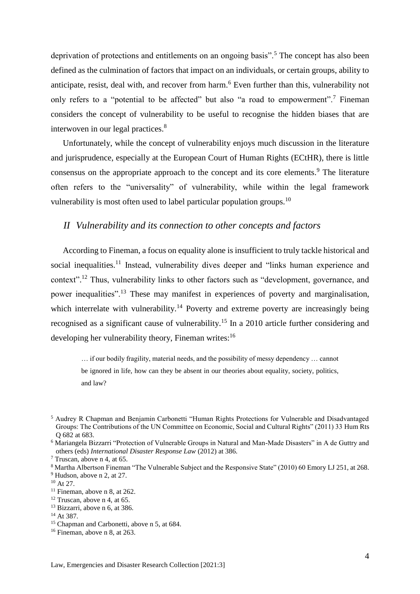deprivation of protections and entitlements on an ongoing basis".<sup>5</sup> The concept has also been defined as the culmination of factors that impact on an individuals, or certain groups, ability to anticipate, resist, deal with, and recover from harm.<sup>6</sup> Even further than this, vulnerability not only refers to a "potential to be affected" but also "a road to empowerment".<sup>7</sup> Fineman considers the concept of vulnerability to be useful to recognise the hidden biases that are interwoven in our legal practices.<sup>8</sup>

Unfortunately, while the concept of vulnerability enjoys much discussion in the literature and jurisprudence, especially at the European Court of Human Rights (ECtHR), there is little consensus on the appropriate approach to the concept and its core elements.<sup>9</sup> The literature often refers to the "universality" of vulnerability, while within the legal framework vulnerability is most often used to label particular population groups.<sup>10</sup>

### <span id="page-3-0"></span>*II Vulnerability and its connection to other concepts and factors*

According to Fineman, a focus on equality alone is insufficient to truly tackle historical and social inequalities.<sup>11</sup> Instead, vulnerability dives deeper and "links human experience and context".<sup>12</sup> Thus, vulnerability links to other factors such as "development, governance, and power inequalities".<sup>13</sup> These may manifest in experiences of poverty and marginalisation, which interrelate with vulnerability.<sup>14</sup> Poverty and extreme poverty are increasingly being recognised as a significant cause of vulnerability.<sup>15</sup> In a 2010 article further considering and developing her vulnerability theory, Fineman writes:<sup>16</sup>

… if our bodily fragility, material needs, and the possibility of messy dependency … cannot be ignored in life, how can they be absent in our theories about equality, society, politics, and law?

<sup>5</sup> Audrey R Chapman and Benjamin Carbonetti "Human Rights Protections for Vulnerable and Disadvantaged Groups: The Contributions of the UN Committee on Economic, Social and Cultural Rights" (2011) 33 Hum Rts Q 682 at 683.

<sup>6</sup> Mariangela Bizzarri "Protection of Vulnerable Groups in Natural and Man-Made Disasters" in A de Guttry and others (eds) *International Disaster Response Law* (2012) at 386.

<sup>7</sup> Truscan, above n 4, at 65.

<sup>8</sup> Martha Albertson Fineman "The Vulnerable Subject and the Responsive State" (2010) 60 Emory LJ 251, at 268. <sup>9</sup> Hudson, above n 2, at 27.

 $10$  At 27.

 $11$  Fineman, above n 8, at 262.

 $12$  Truscan, above n 4, at 65.

<sup>&</sup>lt;sup>13</sup> Bizzarri, above n 6, at 386.

<sup>&</sup>lt;sup>14</sup> At 387.

<sup>&</sup>lt;sup>15</sup> Chapman and Carbonetti, above n 5, at 684.

<sup>&</sup>lt;sup>16</sup> Fineman, above n 8, at 263.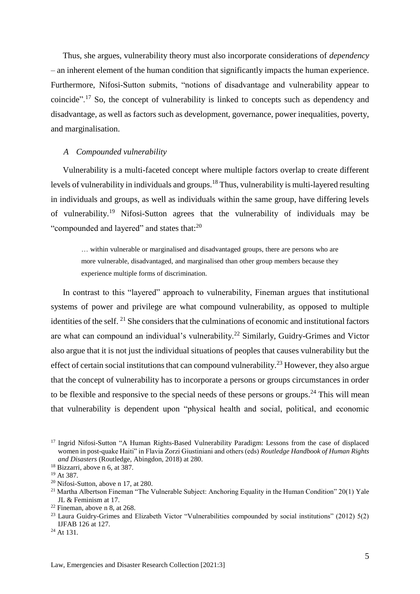Thus, she argues, vulnerability theory must also incorporate considerations of *dependency* – an inherent element of the human condition that significantly impacts the human experience. Furthermore, Nifosi-Sutton submits, "notions of disadvantage and vulnerability appear to coincide".<sup>17</sup> So, the concept of vulnerability is linked to concepts such as dependency and disadvantage*,* as well as factors such as development, governance, power inequalities, poverty, and marginalisation.

#### <span id="page-4-0"></span>*A Compounded vulnerability*

Vulnerability is a multi-faceted concept where multiple factors overlap to create different levels of vulnerability in individuals and groups.<sup>18</sup> Thus, vulnerability is multi-layered resulting in individuals and groups, as well as individuals within the same group, have differing levels of vulnerability.<sup>19</sup> Nifosi-Sutton agrees that the vulnerability of individuals may be "compounded and layered" and states that:<sup>20</sup>

… within vulnerable or marginalised and disadvantaged groups, there are persons who are more vulnerable, disadvantaged, and marginalised than other group members because they experience multiple forms of discrimination.

In contrast to this "layered" approach to vulnerability, Fineman argues that institutional systems of power and privilege are what compound vulnerability, as opposed to multiple identities of the self. <sup>21</sup> She considers that the culminations of economic and institutional factors are what can compound an individual's vulnerability.<sup>22</sup> Similarly, Guidry-Grimes and Victor also argue that it is not just the individual situations of peoples that causes vulnerability but the effect of certain social institutions that can compound vulnerability.<sup>23</sup> However, they also argue that the concept of vulnerability has to incorporate a persons or groups circumstances in order to be flexible and responsive to the special needs of these persons or groups.<sup>24</sup> This will mean that vulnerability is dependent upon "physical health and social, political, and economic

<sup>&</sup>lt;sup>17</sup> Ingrid Nifosi-Sutton "A Human Rights-Based Vulnerability Paradigm: Lessons from the case of displaced women in post-quake Haiti" in Flavia Zorzi Giustiniani and others (eds) *Routledge Handbook of Human Rights and Disasters* (Routledge, Abingdon, 2018) at 280.

<sup>18</sup> Bizzarri, above n 6, at 387.

<sup>19</sup> At 387.

 $20$  Nifosi-Sutton, above n 17, at 280.

<sup>&</sup>lt;sup>21</sup> Martha Albertson Fineman "The Vulnerable Subject: Anchoring Equality in the Human Condition"  $20(1)$  Yale JL & Feminism at 17.

 $22$  Fineman, above n 8, at 268.

<sup>23</sup> Laura Guidry-Grimes and Elizabeth Victor "Vulnerabilities compounded by social institutions" (2012) 5(2) IJFAB 126 at 127.

<sup>&</sup>lt;sup>24</sup> At 131.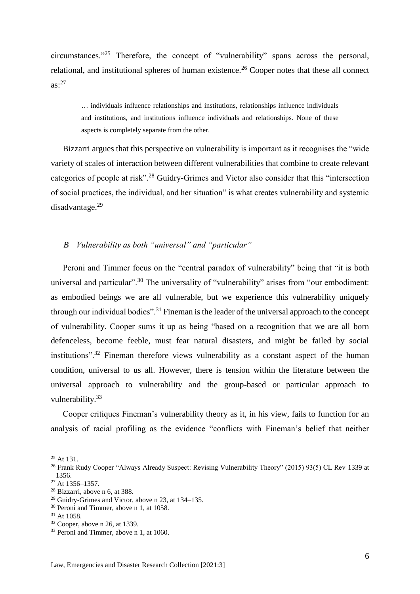circumstances."<sup>25</sup> Therefore, the concept of "vulnerability" spans across the personal, relational, and institutional spheres of human existence.<sup>26</sup> Cooper notes that these all connect  $as: <sup>27</sup>$ 

… individuals influence relationships and institutions, relationships influence individuals and institutions, and institutions influence individuals and relationships. None of these aspects is completely separate from the other.

Bizzarri argues that this perspective on vulnerability is important as it recognises the "wide variety of scales of interaction between different vulnerabilities that combine to create relevant categories of people at risk".<sup>28</sup> Guidry-Grimes and Victor also consider that this "intersection of social practices, the individual, and her situation" is what creates vulnerability and systemic disadvantage.<sup>29</sup>

#### <span id="page-5-0"></span>*B Vulnerability as both "universal" and "particular"*

Peroni and Timmer focus on the "central paradox of vulnerability" being that "it is both universal and particular".<sup>30</sup> The universality of "vulnerability" arises from "our embodiment: as embodied beings we are all vulnerable, but we experience this vulnerability uniquely through our individual bodies".<sup>31</sup> Fineman is the leader of the universal approach to the concept of vulnerability. Cooper sums it up as being "based on a recognition that we are all born defenceless, become feeble, must fear natural disasters, and might be failed by social institutions".<sup>32</sup> Fineman therefore views vulnerability as a constant aspect of the human condition, universal to us all. However, there is tension within the literature between the universal approach to vulnerability and the group-based or particular approach to vulnerability.<sup>33</sup>

Cooper critiques Fineman's vulnerability theory as it, in his view, fails to function for an analysis of racial profiling as the evidence "conflicts with Fineman's belief that neither

<sup>&</sup>lt;sup>25</sup> At 131.

<sup>26</sup> Frank Rudy Cooper "Always Already Suspect: Revising Vulnerability Theory" (2015) 93(5) CL Rev 1339 at 1356.

<sup>27</sup> At 1356–1357.

<sup>28</sup> Bizzarri, above n 6, at 388.

<sup>29</sup> Guidry-Grimes and Victor, above n 23, at 134–135.

<sup>30</sup> Peroni and Timmer, above n 1, at 1058.

<sup>&</sup>lt;sup>31</sup> At 1058.

<sup>32</sup> Cooper, above n 26, at 1339.

<sup>&</sup>lt;sup>33</sup> Peroni and Timmer, above n 1, at 1060.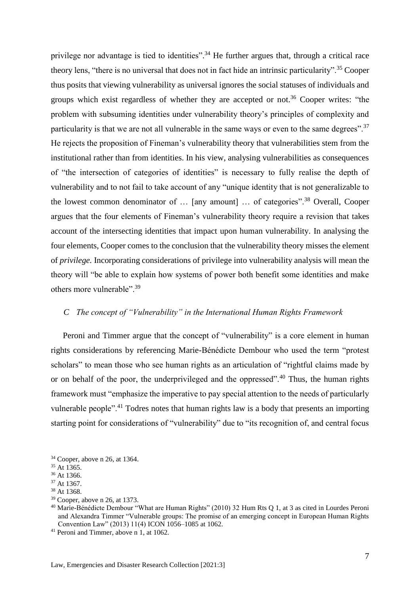privilege nor advantage is tied to identities".<sup>34</sup> He further argues that, through a critical race theory lens, "there is no universal that does not in fact hide an intrinsic particularity".<sup>35</sup> Cooper thus posits that viewing vulnerability as universal ignores the social statuses of individuals and groups which exist regardless of whether they are accepted or not.<sup>36</sup> Cooper writes: "the problem with subsuming identities under vulnerability theory's principles of complexity and particularity is that we are not all vulnerable in the same ways or even to the same degrees".<sup>37</sup> He rejects the proposition of Fineman's vulnerability theory that vulnerabilities stem from the institutional rather than from identities. In his view, analysing vulnerabilities as consequences of "the intersection of categories of identities" is necessary to fully realise the depth of vulnerability and to not fail to take account of any "unique identity that is not generalizable to the lowest common denominator of … [any amount] … of categories".<sup>38</sup> Overall, Cooper argues that the four elements of Fineman's vulnerability theory require a revision that takes account of the intersecting identities that impact upon human vulnerability. In analysing the four elements, Cooper comes to the conclusion that the vulnerability theory misses the element of *privilege.* Incorporating considerations of privilege into vulnerability analysis will mean the theory will "be able to explain how systems of power both benefit some identities and make others more vulnerable".<sup>39</sup>

#### <span id="page-6-0"></span>*C The concept of "Vulnerability" in the International Human Rights Framework*

Peroni and Timmer argue that the concept of "vulnerability" is a core element in human rights considerations by referencing Marie-Bénédicte Dembour who used the term "protest scholars" to mean those who see human rights as an articulation of "rightful claims made by or on behalf of the poor, the underprivileged and the oppressed".<sup>40</sup> Thus, the human rights framework must "emphasize the imperative to pay special attention to the needs of particularly vulnerable people".<sup>41</sup> Todres notes that human rights law is a body that presents an importing starting point for considerations of "vulnerability" due to "its recognition of, and central focus

<sup>34</sup> Cooper, above n 26, at 1364.

<sup>&</sup>lt;sup>35</sup> At 1365.

<sup>36</sup> At 1366.

<sup>37</sup> At 1367.

<sup>38</sup> At 1368.

<sup>39</sup> Cooper, above n 26, at 1373.

<sup>40</sup> Marie-Bénédicte Dembour "What are Human Rights" (2010) 32 Hum Rts Q 1, at 3 as cited in Lourdes Peroni and Alexandra Timmer "Vulnerable groups: The promise of an emerging concept in European Human Rights Convention Law" (2013) 11(4) ICON 1056–1085 at 1062.

<sup>41</sup> Peroni and Timmer, above n 1, at 1062.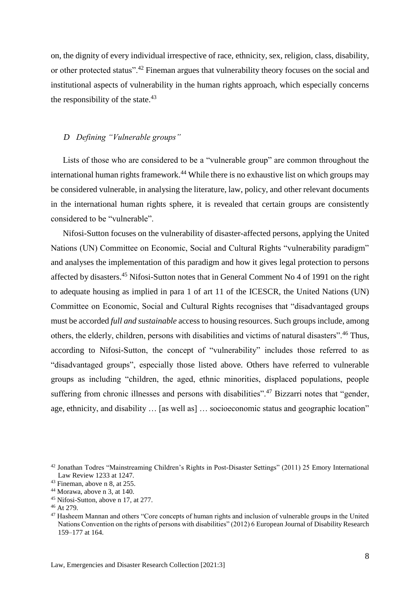on, the dignity of every individual irrespective of race, ethnicity, sex, religion, class, disability, or other protected status".<sup>42</sup> Fineman argues that vulnerability theory focuses on the social and institutional aspects of vulnerability in the human rights approach, which especially concerns the responsibility of the state. $43$ 

#### <span id="page-7-0"></span>*D Defining "Vulnerable groups"*

Lists of those who are considered to be a "vulnerable group" are common throughout the international human rights framework.<sup>44</sup> While there is no exhaustive list on which groups may be considered vulnerable, in analysing the literature, law, policy, and other relevant documents in the international human rights sphere, it is revealed that certain groups are consistently considered to be "vulnerable".

Nifosi-Sutton focuses on the vulnerability of disaster-affected persons, applying the United Nations (UN) Committee on Economic, Social and Cultural Rights "vulnerability paradigm" and analyses the implementation of this paradigm and how it gives legal protection to persons affected by disasters.<sup>45</sup> Nifosi-Sutton notes that in General Comment No 4 of 1991 on the right to adequate housing as implied in para 1 of art 11 of the ICESCR, the United Nations (UN) Committee on Economic, Social and Cultural Rights recognises that "disadvantaged groups must be accorded *full and sustainable* access to housing resources. Such groups include, among others, the elderly, children, persons with disabilities and victims of natural disasters".<sup>46</sup> Thus, according to Nifosi-Sutton, the concept of "vulnerability" includes those referred to as "disadvantaged groups", especially those listed above. Others have referred to vulnerable groups as including "children, the aged, ethnic minorities, displaced populations, people suffering from chronic illnesses and persons with disabilities".<sup>47</sup> Bizzarri notes that "gender, age, ethnicity, and disability … [as well as] … socioeconomic status and geographic location"

<sup>42</sup> Jonathan Todres "Mainstreaming Children's Rights in Post-Disaster Settings" (2011) 25 Emory International Law Review 1233 at 1247.

<sup>43</sup> Fineman, above n 8, at 255.

<sup>44</sup> Morawa, above n 3, at 140.

<sup>45</sup> Nifosi-Sutton, above n 17, at 277.

<sup>46</sup> At 279.

<sup>47</sup> Hasheem Mannan and others "Core concepts of human rights and inclusion of vulnerable groups in the United Nations Convention on the rights of persons with disabilities" (2012) 6 European Journal of Disability Research 159–177 at 164.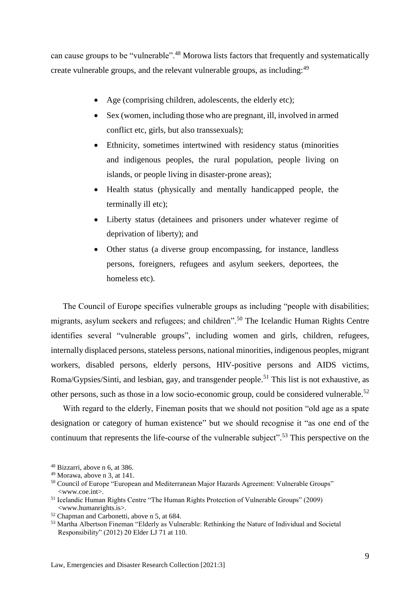can cause groups to be "vulnerable".<sup>48</sup> Morowa lists factors that frequently and systematically create vulnerable groups, and the relevant vulnerable groups, as including:<sup>49</sup>

- Age (comprising children, adolescents, the elderly etc);
- Sex (women, including those who are pregnant, ill, involved in armed conflict etc, girls, but also transsexuals);
- Ethnicity, sometimes intertwined with residency status (minorities and indigenous peoples, the rural population, people living on islands, or people living in disaster-prone areas);
- Health status (physically and mentally handicapped people, the terminally ill etc);
- Liberty status (detainees and prisoners under whatever regime of deprivation of liberty); and
- Other status (a diverse group encompassing, for instance, landless persons, foreigners, refugees and asylum seekers, deportees, the homeless etc).

The Council of Europe specifies vulnerable groups as including "people with disabilities; migrants, asylum seekers and refugees; and children".<sup>50</sup> The Icelandic Human Rights Centre identifies several "vulnerable groups", including women and girls, children, refugees, internally displaced persons, stateless persons, national minorities, indigenous peoples, migrant workers, disabled persons, elderly persons, HIV-positive persons and AIDS victims, Roma/Gypsies/Sinti, and lesbian, gay, and transgender people.<sup>51</sup> This list is not exhaustive, as other persons, such as those in a low socio-economic group, could be considered vulnerable.<sup>52</sup>

With regard to the elderly, Fineman posits that we should not position "old age as a spate designation or category of human existence" but we should recognise it "as one end of the continuum that represents the life-course of the vulnerable subject".<sup>53</sup> This perspective on the

<sup>48</sup> Bizzarri, above n 6, at 386.

<sup>49</sup> Morawa, above n 3, at 141.

<sup>&</sup>lt;sup>50</sup> Council of Europe "European and Mediterranean Major Hazards Agreement: Vulnerable Groups" <www.coe.int>.

<sup>51</sup> Icelandic Human Rights Centre "The Human Rights Protection of Vulnerable Groups" (2009) <www.humanrights.is>.

<sup>52</sup> Chapman and Carbonetti, above n 5, at 684.

<sup>53</sup> Martha Albertson Fineman "Elderly as Vulnerable: Rethinking the Nature of Individual and Societal Responsibility" (2012) 20 Elder LJ 71 at 110.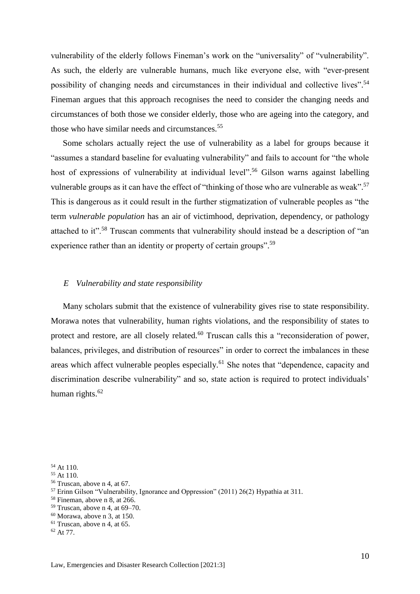vulnerability of the elderly follows Fineman's work on the "universality" of "vulnerability". As such, the elderly are vulnerable humans, much like everyone else, with "ever-present possibility of changing needs and circumstances in their individual and collective lives".<sup>54</sup> Fineman argues that this approach recognises the need to consider the changing needs and circumstances of both those we consider elderly, those who are ageing into the category, and those who have similar needs and circumstances.<sup>55</sup>

Some scholars actually reject the use of vulnerability as a label for groups because it "assumes a standard baseline for evaluating vulnerability" and fails to account for "the whole host of expressions of vulnerability at individual level".<sup>56</sup> Gilson warns against labelling vulnerable groups as it can have the effect of "thinking of those who are vulnerable as weak".<sup>57</sup> This is dangerous as it could result in the further stigmatization of vulnerable peoples as "the term *vulnerable population* has an air of victimhood, deprivation, dependency, or pathology attached to it".<sup>58</sup> Truscan comments that vulnerability should instead be a description of "an experience rather than an identity or property of certain groups".<sup>59</sup>

#### <span id="page-9-0"></span>*E Vulnerability and state responsibility*

Many scholars submit that the existence of vulnerability gives rise to state responsibility. Morawa notes that vulnerability, human rights violations, and the responsibility of states to protect and restore, are all closely related.<sup>60</sup> Truscan calls this a "reconsideration of power, balances, privileges, and distribution of resources" in order to correct the imbalances in these areas which affect vulnerable peoples especially.<sup>61</sup> She notes that "dependence, capacity and discrimination describe vulnerability" and so, state action is required to protect individuals' human rights. $62$ 

<sup>54</sup> At 110.

<sup>55</sup> At 110.

<sup>56</sup> Truscan, above n 4, at 67.

<sup>57</sup> Erinn Gilson "Vulnerability, Ignorance and Oppression" (2011) 26(2) Hypathia at 311.

<sup>58</sup> Fineman, above n 8, at 266.

 $59$  Truscan, above n 4, at 69–70.

 $60$  Morawa, above n 3, at 150.

 $61$  Truscan, above n 4, at 65.

<sup>62</sup> At 77.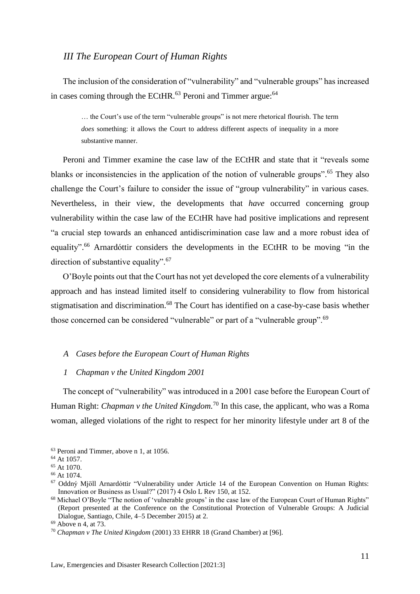### <span id="page-10-0"></span>*III The European Court of Human Rights*

The inclusion of the consideration of "vulnerability" and "vulnerable groups" has increased in cases coming through the ECtHR.<sup>63</sup> Peroni and Timmer argue:<sup>64</sup>

… the Court's use of the term "vulnerable groups" is not mere rhetorical flourish. The term *does* something: it allows the Court to address different aspects of inequality in a more substantive manner.

Peroni and Timmer examine the case law of the ECtHR and state that it "reveals some blanks or inconsistencies in the application of the notion of vulnerable groups".<sup>65</sup> They also challenge the Court's failure to consider the issue of "group vulnerability" in various cases. Nevertheless, in their view, the developments that *have* occurred concerning group vulnerability within the case law of the ECtHR have had positive implications and represent "a crucial step towards an enhanced antidiscrimination case law and a more robust idea of equality".<sup>66</sup> Arnardóttir considers the developments in the ECtHR to be moving "in the direction of substantive equality".<sup>67</sup>

O'Boyle points out that the Court has not yet developed the core elements of a vulnerability approach and has instead limited itself to considering vulnerability to flow from historical stigmatisation and discrimination.<sup>68</sup> The Court has identified on a case-by-case basis whether those concerned can be considered "vulnerable" or part of a "vulnerable group".<sup>69</sup>

#### <span id="page-10-1"></span>*A Cases before the European Court of Human Rights*

<span id="page-10-2"></span>*1 Chapman v the United Kingdom 2001*

The concept of "vulnerability" was introduced in a 2001 case before the European Court of Human Right: *Chapman v the United Kingdom.*<sup>70</sup> In this case, the applicant, who was a Roma woman, alleged violations of the right to respect for her minority lifestyle under art 8 of the

<sup>63</sup> Peroni and Timmer, above n 1, at 1056.

<sup>64</sup> At 1057.

<sup>65</sup> At 1070.

<sup>66</sup> At 1074.

<sup>67</sup> Oddný Mjöll Arnardóttir "Vulnerability under Article 14 of the European Convention on Human Rights: Innovation or Business as Usual?" (2017) 4 Oslo L Rev 150, at 152.

<sup>&</sup>lt;sup>68</sup> Michael O'Boyle "The notion of 'vulnerable groups' in the case law of the European Court of Human Rights" (Report presented at the Conference on the Constitutional Protection of Vulnerable Groups: A Judicial Dialogue, Santiago, Chile, 4–5 December 2015) at 2.

<sup>69</sup> Above n 4, at 73.

<sup>70</sup> *Chapman v The United Kingdom* (2001) 33 EHRR 18 (Grand Chamber) at [96].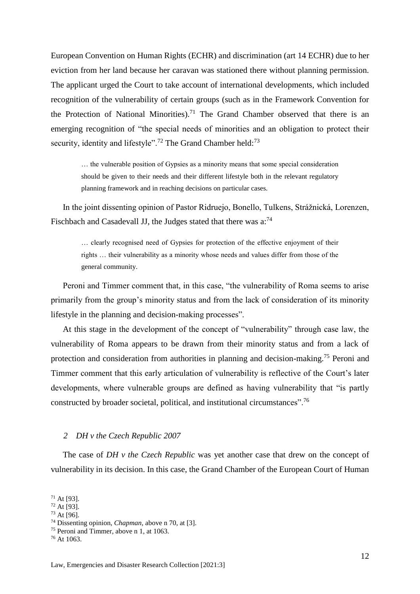European Convention on Human Rights (ECHR) and discrimination (art 14 ECHR) due to her eviction from her land because her caravan was stationed there without planning permission. The applicant urged the Court to take account of international developments, which included recognition of the vulnerability of certain groups (such as in the Framework Convention for the Protection of National Minorities).<sup>71</sup> The Grand Chamber observed that there is an emerging recognition of "the special needs of minorities and an obligation to protect their security, identity and lifestyle".<sup>72</sup> The Grand Chamber held:<sup>73</sup>

… the vulnerable position of Gypsies as a minority means that some special consideration should be given to their needs and their different lifestyle both in the relevant regulatory planning framework and in reaching decisions on particular cases.

In the joint dissenting opinion of Pastor Ridruejo, Bonello, Tulkens, Strážnická, Lorenzen, Fischbach and Casadevall JJ, the Judges stated that there was a:<sup>74</sup>

… clearly recognised need of Gypsies for protection of the effective enjoyment of their rights … their vulnerability as a minority whose needs and values differ from those of the general community.

Peroni and Timmer comment that, in this case, "the vulnerability of Roma seems to arise primarily from the group's minority status and from the lack of consideration of its minority lifestyle in the planning and decision-making processes".

At this stage in the development of the concept of "vulnerability" through case law, the vulnerability of Roma appears to be drawn from their minority status and from a lack of protection and consideration from authorities in planning and decision-making.<sup>75</sup> Peroni and Timmer comment that this early articulation of vulnerability is reflective of the Court's later developments, where vulnerable groups are defined as having vulnerability that "is partly constructed by broader societal, political, and institutional circumstances".<sup>76</sup>

#### <span id="page-11-0"></span>*2 DH v the Czech Republic 2007*

The case of *DH v the Czech Republic* was yet another case that drew on the concept of vulnerability in its decision. In this case, the Grand Chamber of the European Court of Human

<sup>73</sup> At [96].

 $71$  At [93].

<sup>72</sup> At [93].

<sup>74</sup> Dissenting opinion, *Chapman,* above n 70, at [3].

<sup>75</sup> Peroni and Timmer, above n 1, at 1063.

<sup>76</sup> At 1063.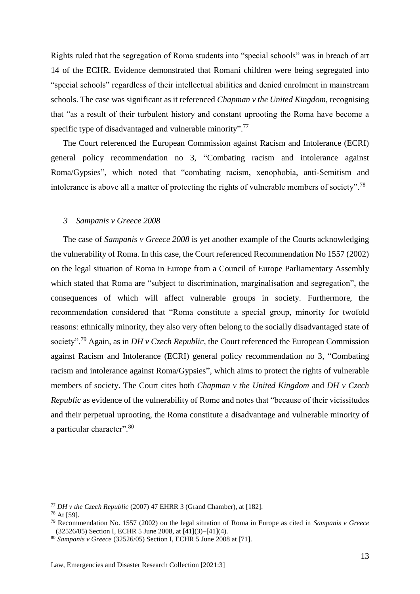Rights ruled that the segregation of Roma students into "special schools" was in breach of art 14 of the ECHR. Evidence demonstrated that Romani children were being segregated into "special schools" regardless of their intellectual abilities and denied enrolment in mainstream schools. The case was significant as it referenced *Chapman v the United Kingdom*, recognising that "as a result of their turbulent history and constant uprooting the Roma have become a specific type of disadvantaged and vulnerable minority".<sup>77</sup>

The Court referenced the European Commission against Racism and Intolerance (ECRI) general policy recommendation no 3, "Combating racism and intolerance against Roma/Gypsies", which noted that "combating racism, xenophobia, anti-Semitism and intolerance is above all a matter of protecting the rights of vulnerable members of society".<sup>78</sup>

#### <span id="page-12-0"></span>*3 Sampanis v Greece 2008*

The case of *Sampanis v Greece 2008* is yet another example of the Courts acknowledging the vulnerability of Roma. In this case, the Court referenced Recommendation No 1557 (2002) on the legal situation of Roma in Europe from a Council of Europe Parliamentary Assembly which stated that Roma are "subject to discrimination, marginalisation and segregation", the consequences of which will affect vulnerable groups in society. Furthermore, the recommendation considered that "Roma constitute a special group, minority for twofold reasons: ethnically minority, they also very often belong to the socially disadvantaged state of society".<sup>79</sup> Again, as in *DH v Czech Republic*, the Court referenced the European Commission against Racism and Intolerance (ECRI) general policy recommendation no 3, "Combating racism and intolerance against Roma/Gypsies", which aims to protect the rights of vulnerable members of society. The Court cites both *Chapman v the United Kingdom* and *DH v Czech Republic* as evidence of the vulnerability of Rome and notes that "because of their vicissitudes and their perpetual uprooting, the Roma constitute a disadvantage and vulnerable minority of a particular character". 80

<sup>77</sup> *DH v the Czech Republic* (2007) 47 EHRR 3 (Grand Chamber), at [182].

<sup>78</sup> At [59].

<sup>79</sup> Recommendation No. 1557 (2002) on the legal situation of Roma in Europe as cited in *Sampanis v Greece*  (32526/05) Section I, ECHR 5 June 2008, at [41](3)–[41](4).

<sup>80</sup> *Sampanis v Greece* (32526/05) Section I, ECHR 5 June 2008 at [71].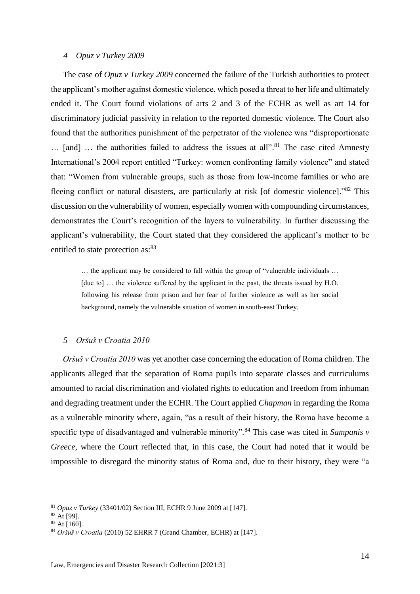#### <span id="page-13-0"></span>*4 Opuz v Turkey 2009*

The case of *Opuz v Turkey 2009* concerned the failure of the Turkish authorities to protect the applicant's mother against domestic violence, which posed a threat to her life and ultimately ended it. The Court found violations of arts 2 and 3 of the ECHR as well as art 14 for discriminatory judicial passivity in relation to the reported domestic violence. The Court also found that the authorities punishment of the perpetrator of the violence was "disproportionate ... [and] ... the authorities failed to address the issues at all".<sup>81</sup> The case cited Amnesty International's 2004 report entitled "Turkey: women confronting family violence" and stated that: "Women from vulnerable groups, such as those from low-income families or who are fleeing conflict or natural disasters, are particularly at risk [of domestic violence]."<sup>82</sup> This discussion on the vulnerability of women, especially women with compounding circumstances, demonstrates the Court's recognition of the layers to vulnerability. In further discussing the applicant's vulnerability, the Court stated that they considered the applicant's mother to be entitled to state protection as:<sup>83</sup>

… the applicant may be considered to fall within the group of "vulnerable individuals … [due to] … the violence suffered by the applicant in the past, the threats issued by H.O. following his release from prison and her fear of further violence as well as her social background, namely the vulnerable situation of women in south-east Turkey.

#### <span id="page-13-1"></span>*5 Oršuš v Croatia 2010*

*Oršuš v Croatia 2010* was yet another case concerning the education of Roma children. The applicants alleged that the separation of Roma pupils into separate classes and curriculums amounted to racial discrimination and violated rights to education and freedom from inhuman and degrading treatment under the ECHR. The Court applied *Chapman* in regarding the Roma as a vulnerable minority where, again, "as a result of their history, the Roma have become a specific type of disadvantaged and vulnerable minority".<sup>84</sup> This case was cited in *Sampanis v Greece*, where the Court reflected that, in this case, the Court had noted that it would be impossible to disregard the minority status of Roma and, due to their history, they were "a

<sup>81</sup> *Opuz v Turkey* (33401/02) Section III, ECHR 9 June 2009 at [147].

 $82$  At [99].

<sup>83</sup> At [160].

<sup>84</sup> *Oršuš v Croatia* (2010) 52 EHRR 7 (Grand Chamber, ECHR) at [147].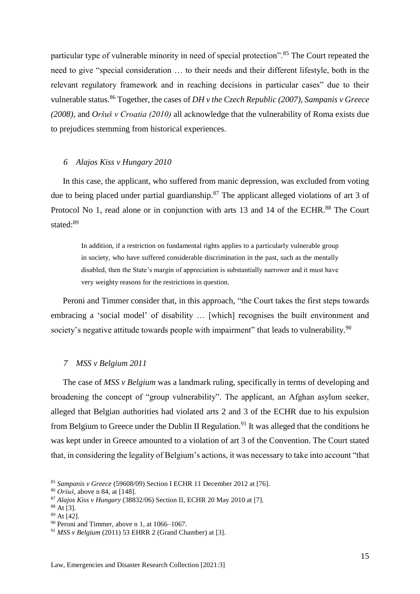particular type of vulnerable minority in need of special protection".<sup>85</sup> The Court repeated the need to give "special consideration … to their needs and their different lifestyle, both in the relevant regulatory framework and in reaching decisions in particular cases" due to their vulnerable status.<sup>86</sup> Together, the cases of *DH v the Czech Republic (2007), Sampanis v Greece (2008),* and *Oršuš v Croatia (2010)* all acknowledge that the vulnerability of Roma exists due to prejudices stemming from historical experiences.

#### <span id="page-14-0"></span>*6 Alajos Kiss v Hungary 2010*

In this case, the applicant, who suffered from manic depression, was excluded from voting due to being placed under partial guardianship.<sup>87</sup> The applicant alleged violations of art 3 of Protocol No 1, read alone or in conjunction with arts 13 and 14 of the ECHR.<sup>88</sup> The Court stated:<sup>89</sup>

In addition, if a restriction on fundamental rights applies to a particularly vulnerable group in society, who have suffered considerable discrimination in the past, such as the mentally disabled, then the State's margin of appreciation is substantially narrower and it must have very weighty reasons for the restrictions in question.

Peroni and Timmer consider that, in this approach, "the Court takes the first steps towards embracing a 'social model' of disability … [which] recognises the built environment and society's negative attitude towards people with impairment" that leads to vulnerability.<sup>90</sup>

#### <span id="page-14-1"></span>*7 MSS v Belgium 2011*

The case of *MSS v Belgium* was a landmark ruling, specifically in terms of developing and broadening the concept of "group vulnerability". The applicant, an Afghan asylum seeker, alleged that Belgian authorities had violated arts 2 and 3 of the ECHR due to his expulsion from Belgium to Greece under the Dublin II Regulation.<sup>91</sup> It was alleged that the conditions he was kept under in Greece amounted to a violation of art 3 of the Convention. The Court stated that, in considering the legality of Belgium's actions, it was necessary to take into account "that

<sup>85</sup> *Sampanis v Greece* (59608/09) Section I ECHR 11 December 2012 at [76].

<sup>86</sup> *Oršuš*, above n 84*,* at [148].

<sup>87</sup> *Alajos Kiss v Hungary* (38832/06) Section II, ECHR 20 May 2010 at [7].

 $88$  At [3].

<sup>89</sup> At [42].

<sup>90</sup> Peroni and Timmer, above n 1, at 1066–1067.

<sup>91</sup> *MSS v Belgium* (2011) 53 EHRR 2 (Grand Chamber) at [3].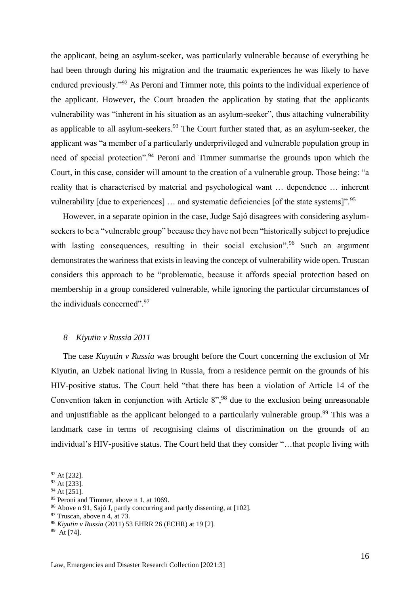the applicant, being an asylum-seeker, was particularly vulnerable because of everything he had been through during his migration and the traumatic experiences he was likely to have endured previously."<sup>92</sup> As Peroni and Timmer note, this points to the individual experience of the applicant. However, the Court broaden the application by stating that the applicants vulnerability was "inherent in his situation as an asylum-seeker", thus attaching vulnerability as applicable to all asylum-seekers. $93$  The Court further stated that, as an asylum-seeker, the applicant was "a member of a particularly underprivileged and vulnerable population group in need of special protection".<sup>94</sup> Peroni and Timmer summarise the grounds upon which the Court, in this case, consider will amount to the creation of a vulnerable group. Those being: "a reality that is characterised by material and psychological want … dependence … inherent vulnerability [due to experiences] ... and systematic deficiencies [of the state systems]".<sup>95</sup>

However, in a separate opinion in the case, Judge Sajó disagrees with considering asylumseekers to be a "vulnerable group" because they have not been "historically subject to prejudice with lasting consequences, resulting in their social exclusion".<sup>96</sup> Such an argument demonstrates the wariness that exists in leaving the concept of vulnerability wide open. Truscan considers this approach to be "problematic, because it affords special protection based on membership in a group considered vulnerable, while ignoring the particular circumstances of the individuals concerned".<sup>97</sup>

#### <span id="page-15-0"></span>*8 Kiyutin v Russia 2011*

The case *Kuyutin v Russia* was brought before the Court concerning the exclusion of Mr Kiyutin, an Uzbek national living in Russia, from a residence permit on the grounds of his HIV-positive status. The Court held "that there has been a violation of Article 14 of the Convention taken in conjunction with Article 8",<sup>98</sup> due to the exclusion being unreasonable and unjustifiable as the applicant belonged to a particularly vulnerable group.<sup>99</sup> This was a landmark case in terms of recognising claims of discrimination on the grounds of an individual's HIV-positive status. The Court held that they consider "…that people living with

<sup>92</sup> At [232].

<sup>93</sup> At [233].

 $94$  At [251].

<sup>&</sup>lt;sup>95</sup> Peroni and Timmer, above n 1, at 1069.

<sup>96</sup> Above n 91, Sajó J, partly concurring and partly dissenting, at [102].

 $97$  Truscan, above n 4, at 73.

<sup>98</sup> *Kiyutin v Russia* (2011) 53 EHRR 26 (ECHR) at 19 [2].

<sup>&</sup>lt;sup>99</sup> At [74].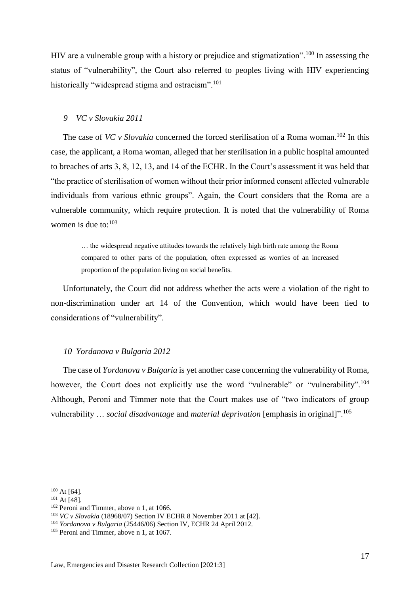HIV are a vulnerable group with a history or prejudice and stigmatization".<sup>100</sup> In assessing the status of "vulnerability", the Court also referred to peoples living with HIV experiencing historically "widespread stigma and ostracism".<sup>101</sup>

#### <span id="page-16-0"></span>*9 VC v Slovakia 2011*

The case of *VC v Slovakia* concerned the forced sterilisation of a Roma woman.<sup>102</sup> In this case, the applicant, a Roma woman, alleged that her sterilisation in a public hospital amounted to breaches of arts 3, 8, 12, 13, and 14 of the ECHR. In the Court's assessment it was held that "the practice of sterilisation of women without their prior informed consent affected vulnerable individuals from various ethnic groups". Again, the Court considers that the Roma are a vulnerable community, which require protection. It is noted that the vulnerability of Roma women is due to:<sup>103</sup>

… the widespread negative attitudes towards the relatively high birth rate among the Roma compared to other parts of the population, often expressed as worries of an increased proportion of the population living on social benefits.

Unfortunately, the Court did not address whether the acts were a violation of the right to non-discrimination under art 14 of the Convention, which would have been tied to considerations of "vulnerability".

#### <span id="page-16-1"></span>*10 Yordanova v Bulgaria 2012*

The case of *Yordanova v Bulgaria* is yet another case concerning the vulnerability of Roma, however, the Court does not explicitly use the word "vulnerable" or "vulnerability".<sup>104</sup> Although, Peroni and Timmer note that the Court makes use of "two indicators of group vulnerability … *social disadvantage* and *material deprivation* [emphasis in original]".<sup>105</sup>

 $100$  At [64].

<sup>101</sup> At [48].

<sup>&</sup>lt;sup>102</sup> Peroni and Timmer, above n 1, at 1066.

<sup>103</sup> *VC v Slovakia* (18968/07) Section IV ECHR 8 November 2011 at [42].

<sup>104</sup> *Yordanova v Bulgaria* (25446/06) Section IV, ECHR 24 April 2012.

<sup>&</sup>lt;sup>105</sup> Peroni and Timmer, above n 1, at 1067.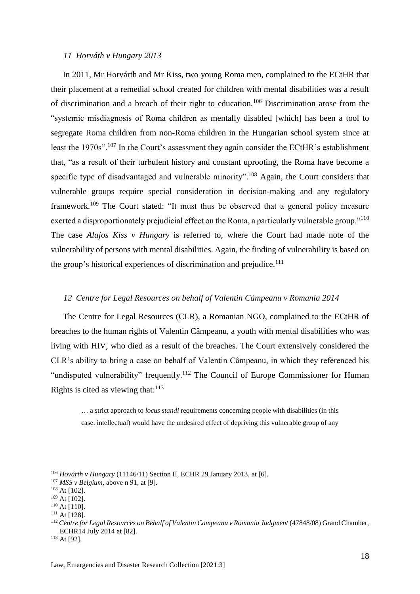#### <span id="page-17-0"></span>*11 Horváth v Hungary 2013*

In 2011, Mr Horvárth and Mr Kiss, two young Roma men, complained to the ECtHR that their placement at a remedial school created for children with mental disabilities was a result of discrimination and a breach of their right to education.<sup>106</sup> Discrimination arose from the "systemic misdiagnosis of Roma children as mentally disabled [which] has been a tool to segregate Roma children from non-Roma children in the Hungarian school system since at least the 1970s".<sup>107</sup> In the Court's assessment they again consider the ECtHR's establishment that, "as a result of their turbulent history and constant uprooting, the Roma have become a specific type of disadvantaged and vulnerable minority".<sup>108</sup> Again, the Court considers that vulnerable groups require special consideration in decision-making and any regulatory framework.<sup>109</sup> The Court stated: "It must thus be observed that a general policy measure exerted a disproportionately prejudicial effect on the Roma, a particularly vulnerable group."<sup>110</sup> The case *Alajos Kiss v Hungary* is referred to, where the Court had made note of the vulnerability of persons with mental disabilities. Again, the finding of vulnerability is based on the group's historical experiences of discrimination and prejudice.<sup>111</sup>

### <span id="page-17-1"></span>*12 Centre for Legal Resources on behalf of Valentin Cámpeanu v Romania 2014*

The Centre for Legal Resources (CLR), a Romanian NGO, complained to the ECtHR of breaches to the human rights of Valentin Câmpeanu, a youth with mental disabilities who was living with HIV, who died as a result of the breaches. The Court extensively considered the CLR's ability to bring a case on behalf of Valentin Câmpeanu, in which they referenced his "undisputed vulnerability" frequently.<sup>112</sup> The Council of Europe Commissioner for Human Rights is cited as viewing that:<sup>113</sup>

… a strict approach to *locus standi* requirements concerning people with disabilities (in this case, intellectual) would have the undesired effect of depriving this vulnerable group of any

<sup>110</sup> At [110].

<sup>113</sup> At [92].

<sup>106</sup> *Hovárth v Hungary* (11146/11) Section II, ECHR 29 January 2013, at [6].

<sup>107</sup> *MSS v Belgium,* above n 91, at [9].

<sup>108</sup> At [102].

<sup>109</sup> At [102].

<sup>&</sup>lt;sup>111</sup> At [128].

<sup>112</sup> *Centre for Legal Resources on Behalf of Valentin Campeanu v Romania Judgment* (47848/08) Grand Chamber, ECHR14 July 2014 at [82].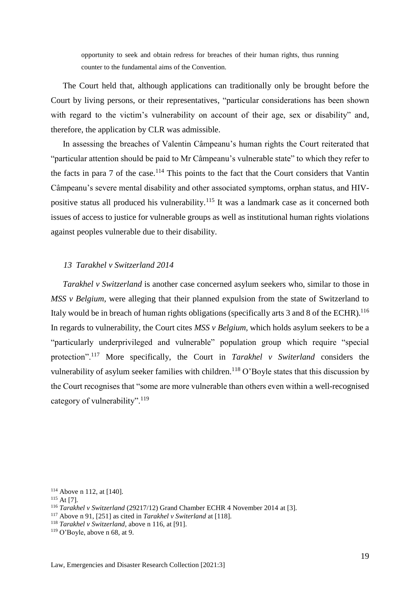opportunity to seek and obtain redress for breaches of their human rights, thus running counter to the fundamental aims of the Convention.

The Court held that, although applications can traditionally only be brought before the Court by living persons, or their representatives, "particular considerations has been shown with regard to the victim's vulnerability on account of their age, sex or disability" and, therefore, the application by CLR was admissible.

In assessing the breaches of Valentin Câmpeanu's human rights the Court reiterated that "particular attention should be paid to Mr Câmpeanu's vulnerable state" to which they refer to the facts in para 7 of the case.<sup>114</sup> This points to the fact that the Court considers that Vantin Câmpeanu's severe mental disability and other associated symptoms, orphan status, and HIVpositive status all produced his vulnerability.<sup>115</sup> It was a landmark case as it concerned both issues of access to justice for vulnerable groups as well as institutional human rights violations against peoples vulnerable due to their disability.

#### <span id="page-18-0"></span>*13 Tarakhel v Switzerland 2014*

*Tarakhel v Switzerland* is another case concerned asylum seekers who, similar to those in *MSS v Belgium*, were alleging that their planned expulsion from the state of Switzerland to Italy would be in breach of human rights obligations (specifically arts 3 and 8 of the ECHR).<sup>116</sup> In regards to vulnerability, the Court cites *MSS v Belgium,* which holds asylum seekers to be a "particularly underprivileged and vulnerable" population group which require "special protection".<sup>117</sup> More specifically, the Court in *Tarakhel v Switerland* considers the vulnerability of asylum seeker families with children.<sup>118</sup> O'Boyle states that this discussion by the Court recognises that "some are more vulnerable than others even within a well-recognised category of vulnerability".<sup>119</sup>

<sup>114</sup> Above n 112, at [140].

<sup>115</sup> At [7]*.* 

<sup>116</sup> *Tarakhel v Switzerland* (29217/12) Grand Chamber ECHR 4 November 2014 at [3].

<sup>117</sup> Above n 91, [251] as cited in *Tarakhel v Switerland* at [118].

<sup>118</sup> *Tarakhel v Switzerland*, above n 116, at [91].

 $119$  O'Boyle, above n 68, at 9.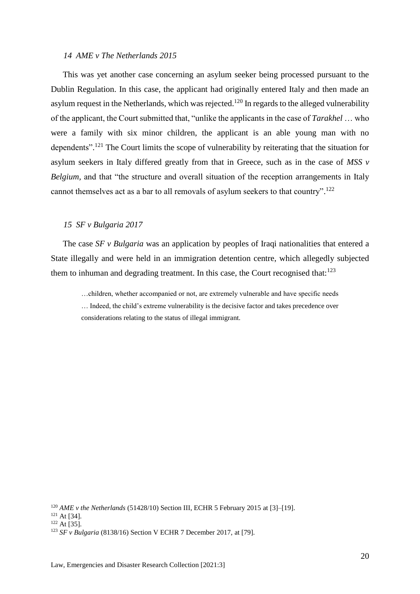#### <span id="page-19-0"></span>*14 AME v The Netherlands 2015*

This was yet another case concerning an asylum seeker being processed pursuant to the Dublin Regulation. In this case, the applicant had originally entered Italy and then made an asylum request in the Netherlands, which was rejected.<sup>120</sup> In regards to the alleged vulnerability of the applicant, the Court submitted that, "unlike the applicants in the case of *Tarakhel* … who were a family with six minor children, the applicant is an able young man with no dependents".<sup>121</sup> The Court limits the scope of vulnerability by reiterating that the situation for asylum seekers in Italy differed greatly from that in Greece, such as in the case of *MSS v Belgium*, and that "the structure and overall situation of the reception arrangements in Italy cannot themselves act as a bar to all removals of asylum seekers to that country".<sup>122</sup>

#### <span id="page-19-1"></span>*15 SF v Bulgaria 2017*

The case *SF v Bulgaria* was an application by peoples of Iraqi nationalities that entered a State illegally and were held in an immigration detention centre, which allegedly subjected them to inhuman and degrading treatment. In this case, the Court recognised that: $123$ 

…children, whether accompanied or not, are extremely vulnerable and have specific needs … Indeed, the child's extreme vulnerability is the decisive factor and takes precedence over considerations relating to the status of illegal immigrant.

<sup>120</sup> *AME v the Netherlands* (51428/10) Section III, ECHR 5 February 2015 at [3]–[19].

<sup>121</sup> At [34].

<sup>122</sup> At [35].

<sup>123</sup> *SF v Bulgaria* (8138/16) Section V ECHR 7 December 2017, at [79].